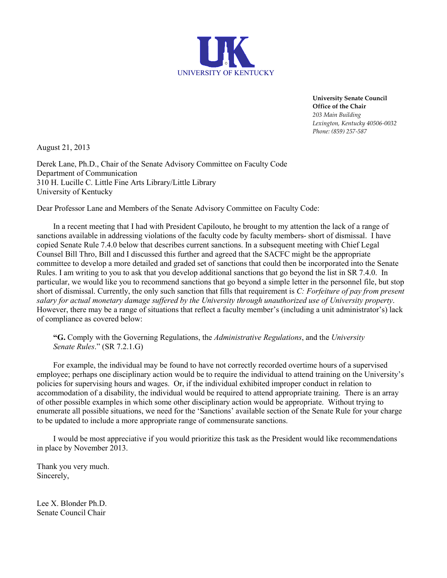

**University Senate Council Office of the Chair** *203 Main Building Lexington, Kentucky 40506-0032 Phone: (859) 257-587*

August 21, 2013

Derek Lane, Ph.D., Chair of the Senate Advisory Committee on Faculty Code Department of Communication 310 H. Lucille C. Little Fine Arts Library/Little Library University of Kentucky

Dear Professor Lane and Members of the Senate Advisory Committee on Faculty Code:

In a recent meeting that I had with President Capilouto, he brought to my attention the lack of a range of sanctions available in addressing violations of the faculty code by faculty members- short of dismissal. I have copied Senate Rule 7.4.0 below that describes current sanctions. In a subsequent meeting with Chief Legal Counsel Bill Thro, Bill and I discussed this further and agreed that the SACFC might be the appropriate committee to develop a more detailed and graded set of sanctions that could then be incorporated into the Senate Rules. I am writing to you to ask that you develop additional sanctions that go beyond the list in SR 7.4.0. In particular, we would like you to recommend sanctions that go beyond a simple letter in the personnel file, but stop short of dismissal. Currently, the only such sanction that fills that requirement is *C: Forfeiture of pay from present salary for actual monetary damage suffered by the University through unauthorized use of University property*. However, there may be a range of situations that reflect a faculty member's (including a unit administrator's) lack of compliance as covered below:

**"G.** Comply with the Governing Regulations, the *Administrative Regulations*, and the *University Senate Rules*." (SR 7.2.1.G)

For example, the individual may be found to have not correctly recorded overtime hours of a supervised employee; perhaps one disciplinary action would be to require the individual to attend training on the University's policies for supervising hours and wages. Or, if the individual exhibited improper conduct in relation to accommodation of a disability, the individual would be required to attend appropriate training. There is an array of other possible examples in which some other disciplinary action would be appropriate. Without trying to enumerate all possible situations, we need for the 'Sanctions' available section of the Senate Rule for your charge to be updated to include a more appropriate range of commensurate sanctions.

I would be most appreciative if you would prioritize this task as the President would like recommendations in place by November 2013.

Thank you very much. Sincerely,

Lee X. Blonder Ph.D. Senate Council Chair